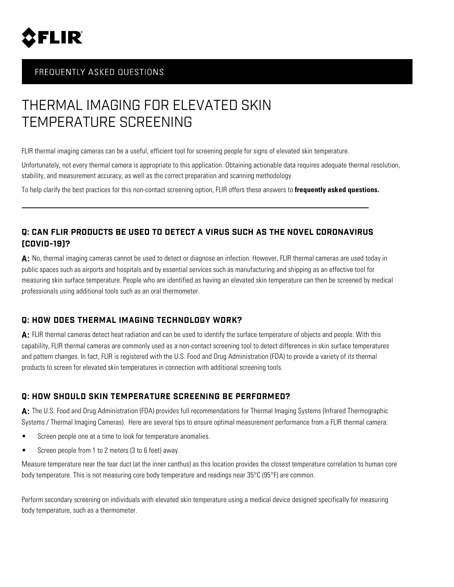

## FREQUENTLY ASKED QUESTIONS

# THERMAL IMAGING FOR ELEVATED SKIN TEMPERATURE SCREENING

FLIR thermal imaging cameras can be a useful, efficient tool for screening people for signs of elevated skin temperature.

Unfortunately, not every thermal camera is appropriate to this application. Obtaining actionable data requires adequate thermal resolution, stability, and measurement accuracy, as well as the correct preparation and scanning methodology.

To help clarify the best practices for this non-contact screening option, FLIR offers these answers to **frequently asked questions.**

## **Q: CAN FLIR PRODUCTS BE USED TO DETECT A VIRUS SUCH AS THE NOVEL CORONAVIRUS (COVID-19)?**

A: No, thermal imaging cameras cannot be used to detect or diagnose an infection. However, FLIR thermal cameras are used today in public spaces such as airports and hospitals and by essential services such as manufacturing and shipping as an effective tool for measuring skin surface temperature. People who are identified as having an elevated skin temperature can then be screened by medical professionals using additional tools such as an oral thermometer.

## **Q: HOW DOES THERMAL IMAGING TECHNOLOGY WORK?**

**A:** FLIR thermal cameras detect heat radiation and can be used to identify the surface temperature of objects and people. With this capability, FLIR thermal cameras are commonly used as a non-contact screening tool to detect differences in skin surface temperatures and pattern changes. In fact, FLIR is registered with the U.S. Food and Drug Administration (FDA) to provide a variety of its thermal products to screen for elevated skin temperatures in connection with additional screening tools.

## **Q: HOW SHOULD SKIN TEMPERATURE SCREENING BE PERFORMED?**

**A:** The U.S. Food and Drug Administration (FDA) provides full recommendations for Thermal Imaging Systems (Infrared Thermographic Systems / Thermal Imaging Cameras). Here are several tips to ensure optimal measurement performance from a FLIR thermal camera:

- Screen people one at a time to look for temperature anomalies.
- Screen people from 1 to 2 meters (3 to 6 feet) away.

Measure temperature near the tear duct (at the inner canthus) as this location provides the closest temperature correlation to human core body temperature. This is not measuring core body temperature and readings near 35°C (95°F) are common.

Perform secondary screening on individuals with elevated skin temperature using a medical device designed specifically for measuring body temperature, such as a thermometer.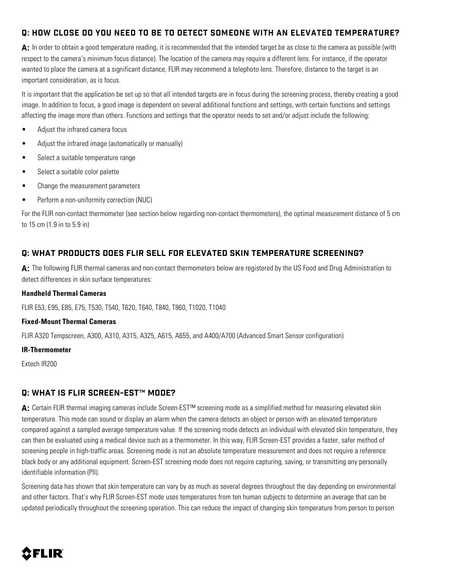## **Q: HOW CLOSE DO YOU NEED TO BE TO DETECT SOMEONE WITH AN ELEVATED TEMPERATURE?**

A: In order to obtain a good temperature reading, it is recommended that the intended target be as close to the camera as possible (with respect to the camera's minimum focus distance). The location of the camera may require a different lens. For instance, if the operator wanted to place the camera at a significant distance, FLIR may recommend a telephoto lens. Therefore, distance to the target is an important consideration, as is focus.

It is important that the application be set up so that all intended targets are in focus during the screening process, thereby creating a good image. In addition to focus, a good image is dependent on several additional functions and settings, with certain functions and settings affecting the image more than others. Functions and settings that the operator needs to set and/or adjust include the following:

- Adjust the infrared camera focus
- Adjust the infrared image (automatically or manually)
- Select a suitable temperature range
- Select a suitable color palette
- Change the measurement parameters
- Perform a non-uniformity correction (NUC)

For the FLIR non-contact thermometer (see section below regarding non-contact thermometers), the optimal measurement distance of 5 cm to 15 cm (1.9 in to 5.9 in)

#### **Q: WHAT PRODUCTS DOES FLIR SELL FOR ELEVATED SKIN TEMPERATURE SCREENING?**

**A:** The following FLIR thermal cameras and non-contact thermometers below are registered by the US Food and Drug Administration to detect differences in skin surface temperatures:

#### **Handheld Thermal Cameras**

FLIR E53, E95, E85, E75, T530, T540, T620, T640, T840, T860, T1020, T1040

#### **Fixed-Mount Thermal Cameras**

FLIR A320 Tempscreen, A300, A310, A315, A325, A615, A655, and A400/A700 (Advanced Smart Sensor configuration)

#### **IR-Thermometer**

Extech IR200

#### **Q: WHAT IS FLIR SCREEN-EST™ MODE?**

A: Certain FLIR thermal imaging cameras include Screen-EST<sup>™</sup> screening mode as a simplified method for measuring elevated skin temperature. This mode can sound or display an alarm when the camera detects an object or person with an elevated temperature compared against a sampled average temperature value. If the screening mode detects an individual with elevated skin temperature, they can then be evaluated using a medical device such as a thermometer. In this way, FLIR Screen-EST provides a faster, safer method of screening people in high-traffic areas. Screening mode is not an absolute temperature measurement and does not require a reference black body or any additional equipment. Screen-EST screening mode does not require capturing, saving, or transmitting any personally identifiable information (PII).

Screening data has shown that skin temperature can vary by as much as several degrees throughout the day depending on environmental and other factors. That's why FLIR Screen-EST mode uses temperatures from ten human subjects to determine an average that can be updated periodically throughout the screening operation. This can reduce the impact of changing skin temperature from person to person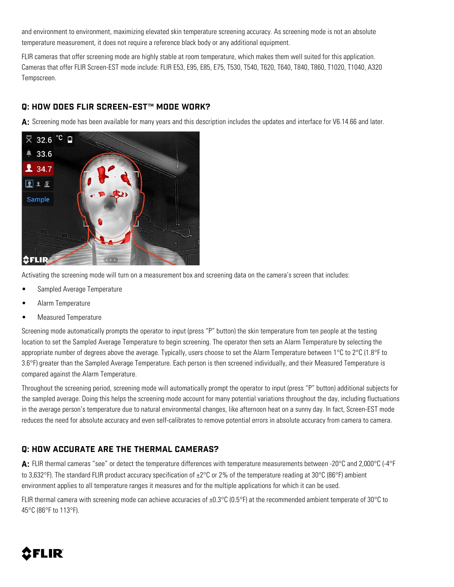and environment to environment, maximizing elevated skin temperature screening accuracy. As screening mode is not an absolute temperature measurement, it does not require a reference black body or any additional equipment.

FLIR cameras that offer screening mode are highly stable at room temperature, which makes them well suited for this application. Cameras that offer FLIR Screen-EST mode include: FLIR E53, E95, E85, E75, T530, T540, T620, T640, T840, T860, T1020, T1040, A320 Tempscreen.

#### **Q: HOW DOES FLIR SCREEN-EST™ MODE WORK?**

**A:** Screening mode has been available for many years and this description includes the updates and interface for V6.14.66 and later.



Activating the screening mode will turn on a measurement box and screening data on the camera's screen that includes:

- Sampled Average Temperature
- Alarm Temperature
- Measured Temperature

Screening mode automatically prompts the operator to input (press "P" button) the skin temperature from ten people at the testing location to set the Sampled Average Temperature to begin screening. The operator then sets an Alarm Temperature by selecting the appropriate number of degrees above the average. Typically, users choose to set the Alarm Temperature between  $1^{\circ}$ C to  $2^{\circ}$ C (1.8°F to 3.6°F) greater than the Sampled Average Temperature. Each person is then screened individually, and their Measured Temperature is compared against the Alarm Temperature.

Throughout the screening period, screening mode will automatically prompt the operator to input (press "P" button) additional subjects for the sampled average. Doing this helps the screening mode account for many potential variations throughout the day, including fluctuations in the average person's temperature due to natural environmental changes, like afternoon heat on a sunny day. In fact, Screen-EST mode reduces the need for absolute accuracy and even self-calibrates to remove potential errors in absolute accuracy from camera to camera.

### **Q: HOW ACCURATE ARE THE THERMAL CAMERAS?**

**A:** FLIR thermal cameras "see" or detect the temperature differences with temperature measurements between -20°C and 2,000°C (-4°F to 3,632°F). The standard FLIR product accuracy specification of ±2°C or 2% of the temperature reading at 30°C (86°F) ambient environment applies to all temperature ranges it measures and for the multiple applications for which it can be used.

FLIR thermal camera with screening mode can achieve accuracies of ±0.3°C (0.5°F) at the recommended ambient temperate of 30°C to 45°C (86°F to 113°F).

# 8 FLIR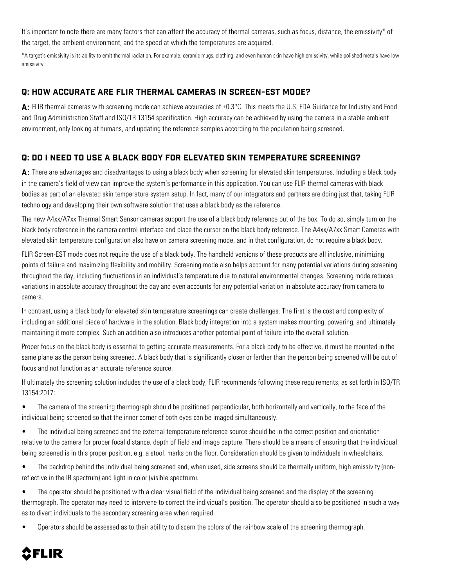It's important to note there are many factors that can affect the accuracy of thermal cameras, such as focus, distance, the emissivity\* of the target, the ambient environment, and the speed at which the temperatures are acquired.

\*A target's emissivity is its ability to emit thermal radiation. For example, ceramic mugs, clothing, and even human skin have high emissivity, while polished metals have low emissivity.

#### **Q: HOW ACCURATE ARE FLIR THERMAL CAMERAS IN SCREEN-EST MODE?**

A: FLIR thermal cameras with screening mode can achieve accuracies of ±0.3°C. This meets the U.S. FDA Guidance for Industry and Food and Drug Administration Staff and ISO/TR 13154 specification. High accuracy can be achieved by using the camera in a stable ambient environment, only looking at humans, and updating the reference samples according to the population being screened.

#### **Q: DO I NEED TO USE A BLACK BODY FOR ELEVATED SKIN TEMPERATURE SCREENING?**

**A:** There are advantages and disadvantages to using a black body when screening for elevated skin temperatures. Including a black body in the camera's field of view can improve the system's performance in this application. You can use FLIR thermal cameras with black bodies as part of an elevated skin temperature system setup. In fact, many of our integrators and partners are doing just that, taking FLIR technology and developing their own software solution that uses a black body as the reference.

The new A4xx/A7xx Thermal Smart Sensor cameras support the use of a black body reference out of the box. To do so, simply turn on the black body reference in the camera control interface and place the cursor on the black body reference. The A4xx/A7xx Smart Cameras with elevated skin temperature configuration also have on camera screening mode, and in that configuration, do not require a black body.

FLIR Screen-EST mode does not require the use of a black body. The handheld versions of these products are all inclusive, minimizing points of failure and maximizing flexibility and mobility. Screening mode also helps account for many potential variations during screening throughout the day, including fluctuations in an individual's temperature due to natural environmental changes. Screening mode reduces variations in absolute accuracy throughout the day and even accounts for any potential variation in absolute accuracy from camera to camera.

In contrast, using a black body for elevated skin temperature screenings can create challenges. The first is the cost and complexity of including an additional piece of hardware in the solution. Black body integration into a system makes mounting, powering, and ultimately maintaining it more complex. Such an addition also introduces another potential point of failure into the overall solution.

Proper focus on the black body is essential to getting accurate measurements. For a black body to be effective, it must be mounted in the same plane as the person being screened. A black body that is significantly closer or farther than the person being screened will be out of focus and not function as an accurate reference source.

If ultimately the screening solution includes the use of a black body, FLIR recommends following these requirements, as set forth in ISO/TR 13154:2017:

- The camera of the screening thermograph should be positioned perpendicular, both horizontally and vertically, to the face of the individual being screened so that the inner corner of both eyes can be imaged simultaneously.
- The individual being screened and the external temperature reference source should be in the correct position and orientation relative to the camera for proper focal distance, depth of field and image capture. There should be a means of ensuring that the individual being screened is in this proper position, e.g. a stool, marks on the floor. Consideration should be given to individuals in wheelchairs.
- The backdrop behind the individual being screened and, when used, side screens should be thermally uniform, high emissivity (nonreflective in the IR spectrum) and light in color (visible spectrum).
- The operator should be positioned with a clear visual field of the individual being screened and the display of the screening thermograph. The operator may need to intervene to correct the individual's position. The operator should also be positioned in such a way as to divert individuals to the secondary screening area when required.
- Operators should be assessed as to their ability to discern the colors of the rainbow scale of the screening thermograph.

# **CFLIR**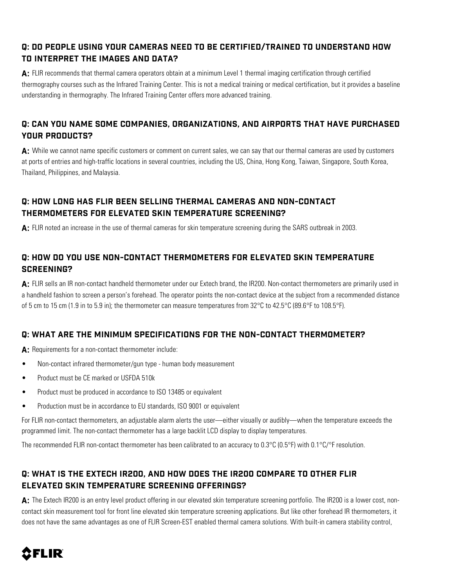## **Q: DO PEOPLE USING YOUR CAMERAS NEED TO BE CERTIFIED/TRAINED TO UNDERSTAND HOW TO INTERPRET THE IMAGES AND DATA?**

**A:** FLIR recommends that thermal camera operators obtain at a minimum Level 1 thermal imaging certification through certified thermography courses such as the Infrared Training Center. This is not a medical training or medical certification, but it provides a baseline understanding in thermography. The Infrared Training Center offers more advanced training.

## **Q: CAN YOU NAME SOME COMPANIES, ORGANIZATIONS, AND AIRPORTS THAT HAVE PURCHASED YOUR PRODUCTS?**

**A:** While we cannot name specific customers or comment on current sales, we can say that our thermal cameras are used by customers at ports of entries and high-traffic locations in several countries, including the US, China, Hong Kong, Taiwan, Singapore, South Korea, Thailand, Philippines, and Malaysia.

## **Q: HOW LONG HAS FLIR BEEN SELLING THERMAL CAMERAS AND NON-CONTACT THERMOMETERS FOR ELEVATED SKIN TEMPERATURE SCREENING?**

**A:** FLIR noted an increase in the use of thermal cameras for skin temperature screening during the SARS outbreak in 2003.

## **Q: HOW DO YOU USE NON-CONTACT THERMOMETERS FOR ELEVATED SKIN TEMPERATURE SCREENING?**

**A:** FLIR sells an IR non-contact handheld thermometer under our Extech brand, the IR200. Non-contact thermometers are primarily used in a handheld fashion to screen a person's forehead. The operator points the non-contact device at the subject from a recommended distance of 5 cm to 15 cm (1.9 in to 5.9 in); the thermometer can measure temperatures from 32°C to 42.5°C (89.6°F to 108.5°F).

## **Q: WHAT ARE THE MINIMUM SPECIFICATIONS FOR THE NON-CONTACT THERMOMETER?**

A: Requirements for a non-contact thermometer include:

- Non-contact infrared thermometer/gun type human body measurement
- Product must be CE marked or USFDA 510k
- Product must be produced in accordance to ISO 13485 or equivalent
- Production must be in accordance to EU standards, ISO 9001 or equivalent

For FLIR non-contact thermometers, an adjustable alarm alerts the user—either visually or audibly—when the temperature exceeds the programmed limit. The non-contact thermometer has a large backlit LCD display to display temperatures.

The recommended FLIR non-contact thermometer has been calibrated to an accuracy to 0.3°C (0.5°F) with 0.1°C/°F resolution.

## **Q: WHAT IS THE EXTECH IR200, AND HOW DOES THE IR200 COMPARE TO OTHER FLIR ELEVATED SKIN TEMPERATURE SCREENING OFFERINGS?**

A: The Extech IR200 is an entry level product offering in our elevated skin temperature screening portfolio. The IR200 is a lower cost, noncontact skin measurement tool for front line elevated skin temperature screening applications. But like other forehead IR thermometers, it does not have the same advantages as one of FLIR Screen-EST enabled thermal camera solutions. With built-in camera stability control,